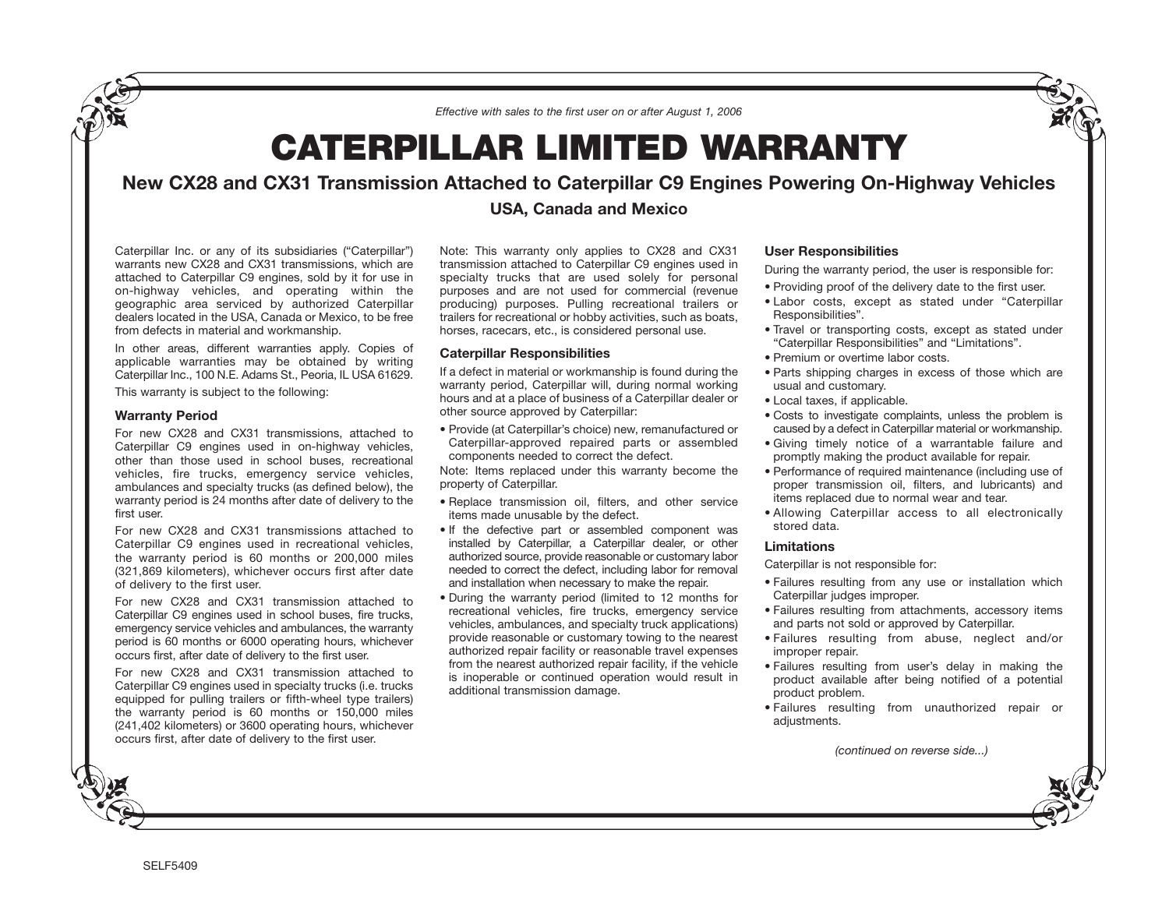*Effective with sales to the first user on or after August 1, 2006*

# **CATERPILLAR LIMITED WARRANTY**

## **New CX28 and CX31 Transmission Attached to Caterpillar C9 Engines Powering On-Highway Vehicles**

### **USA, Canada and Mexico**

Caterpillar Inc. or any of its subsidiaries ("Caterpillar") warrants new CX28 and CX31 transmissions, which are attached to Caterpillar C9 engines, sold by it for use in on-highway vehicles, and operating within the geographic area serviced by authorized Caterpillar dealers located in the USA, Canada or Mexico, to be free from defects in material and workmanship.

In other areas, different warranties apply. Copies of applicable warranties may be obtained by writing Caterpillar Inc., 100 N.E. Adams St., Peoria, IL USA 61629.

This warranty is subject to the following:

#### **Warranty Period**

For new CX28 and CX31 transmissions, attached to Caterpillar C9 engines used in on-highway vehicles, other than those used in school buses, recreational vehicles, fire trucks, emergency service vehicles, ambulances and specialty trucks (as defined below), the warranty period is 24 months after date of delivery to the first user.

For new CX28 and CX31 transmissions attached to Caterpillar C9 engines used in recreational vehicles, the warranty period is 60 months or 200,000 miles (321,869 kilometers), whichever occurs first after date of delivery to the first user.

For new CX28 and CX31 transmission attached to Caterpillar C9 engines used in school buses, fire trucks, emergency service vehicles and ambulances, the warranty period is 60 months or 6000 operating hours, whichever occurs first, after date of delivery to the first user.

For new CX28 and CX31 transmission attached to Caterpillar C9 engines used in specialty trucks (i.e. trucks equipped for pulling trailers or fifth-wheel type trailers) the warranty period is 60 months or 150,000 miles (241,402 kilometers) or 3600 operating hours, whichever occurs first, after date of delivery to the first user.

Note: This warranty only applies to CX28 and CX31 transmission attached to Caterpillar C9 engines used in specialty trucks that are used solely for personal purposes and are not used for commercial (revenue producing) purposes. Pulling recreational trailers or trailers for recreational or hobby activities, such as boats, horses, racecars, etc., is considered personal use.

#### **Caterpillar Responsibilities**

If a defect in material or workmanship is found during the warranty period, Caterpillar will, during normal working hours and at a place of business of a Caterpillar dealer or other source approved by Caterpillar:

• Provide (at Caterpillar's choice) new, remanufactured or Caterpillar-approved repaired parts or assembled components needed to correct the defect.

Note: Items replaced under this warranty become the property of Caterpillar.

- Replace transmission oil, filters, and other service items made unusable by the defect.
- If the defective part or assembled component was installed by Caterpillar, a Caterpillar dealer, or other authorized source, provide reasonable or customary labor needed to correct the defect, including labor for removal and installation when necessary to make the repair.
- During the warranty period (limited to 12 months for recreational vehicles, fire trucks, emergency service vehicles, ambulances, and specialty truck applications) provide reasonable or customary towing to the nearest authorized repair facility or reasonable travel expenses from the nearest authorized repair facility, if the vehicle is inoperable or continued operation would result in additional transmission damage.

#### **User Responsibilities**

During the warranty period, the user is responsible for:

- Providing proof of the delivery date to the first user.
- Labor costs, except as stated under "Caterpillar Responsibilities".
- Travel or transporting costs, except as stated under "Caterpillar Responsibilities" and "Limitations".
- Premium or overtime labor costs.
- Parts shipping charges in excess of those which are usual and customary.
- Local taxes, if applicable.
- Costs to investigate complaints, unless the problem is caused by a defect in Caterpillar material or workmanship.
- Giving timely notice of a warrantable failure and promptly making the product available for repair.
- Performance of required maintenance (including use of proper transmission oil, filters, and lubricants) and items replaced due to normal wear and tear.
- Allowing Caterpillar access to all electronically stored data.

#### **Limitations**

Caterpillar is not responsible for:

- Failures resulting from any use or installation which Caterpillar judges improper.
- Failures resulting from attachments, accessory items and parts not sold or approved by Caterpillar.
- Failures resulting from abuse, neglect and/or improper repair.
- Failures resulting from user's delay in making the product available after being notified of a potential product problem.
- Failures resulting from unauthorized repair or adjustments.

*(continued on reverse side...)*